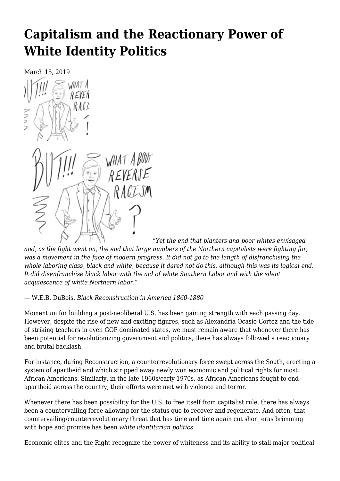# **[Capitalism and the Reactionary Power of](https://newpol.org/capitalism-and-the-reactionary-power-of-white-identity-politics/) [White Identity Politics](https://newpol.org/capitalism-and-the-reactionary-power-of-white-identity-politics/)**

March 15, 2019

フンフ WHAT A BOUT

"*Yet the end that planters and poor whites envisaged and, as the fight went on, the end that large numbers of the Northern capitalists were fighting for, was a movement in the face of modern progress. It did not go to the length of disfranchising the whole laboring class, black and white, because it dared not do this, although this was its logical end. It did disenfranchise black labor with the aid of white Southern Labor and with the silent acquiescence of white Northern labor*."

# — W.E.B. DuBois, *Black Reconstruction in America 1860-1880*

Momentum for building a post-neoliberal U.S. has been gaining strength with each passing day. However, despite the rise of new and exciting figures, such as Alexandria Ocasio-Cortez and the tide of striking teachers in even GOP dominated states, we must remain aware that whenever there has been potential for revolutionizing government and politics, there has always followed a reactionary and brutal backlash.

For instance, during Reconstruction, a counterrevolutionary force swept across the South, erecting a system of apartheid and which stripped away newly won economic and political rights for most African Americans. Similarly, in the late 1960s/early 1970s, as African Americans fought to end apartheid across the country, their efforts were met with violence and terror.

Whenever there has been possibility for the U.S. to free itself from capitalist rule, there has always been a countervailing force allowing for the status quo to recover and regenerate. And often, that countervailing/counterrevolutionary threat that has time and time again cut short eras brimming with hope and promise has been *white identitarian politics*.

Economic elites and the Right recognize the power of whiteness and its ability to stall major political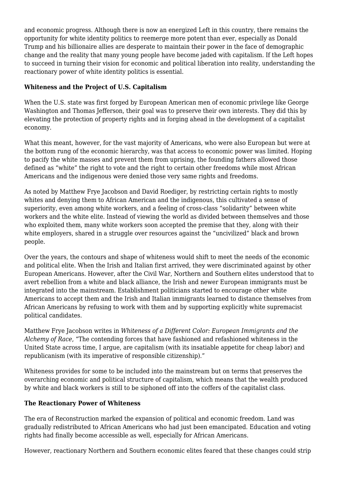and economic progress. Although there is now an energized Left in this country, there remains the opportunity for white identity politics to reemerge more potent than ever, especially as Donald Trump and his billionaire allies are desperate to maintain their power in the face of demographic change and the reality that many young people have become jaded with capitalism. If the Left hopes to succeed in turning their vision for economic and political liberation into reality, understanding the reactionary power of white identity politics is essential.

# **Whiteness and the Project of U.S. Capitalism**

When the U.S. state was first forged by European American men of economic privilege like George Washington and Thomas Jefferson, their goal was to preserve their own interests. They did this by elevating the protection of property rights and in forging ahead in the development of a capitalist economy.

What this meant, however, for the vast majority of Americans, who were also European but were at the bottom rung of the economic hierarchy, was that access to economic power was limited. Hoping to pacify the white masses and prevent them from uprising, the founding fathers allowed those defined as "white" the right to vote and the right to certain other freedoms while most African Americans and the indigenous were denied those very same rights and freedoms.

As noted by Matthew Frye Jacobson and David Roediger, by restricting certain rights to mostly whites and denying them to African American and the indigenous, this cultivated a sense of superiority, even among white workers, and a feeling of cross-class "solidarity" between white workers and the white elite. Instead of viewing the world as divided between themselves and those who exploited them, many white workers soon accepted the premise that they, along with their white employers, shared in a struggle over resources against the "uncivilized" black and brown people.

Over the years, the contours and shape of whiteness would shift to meet the needs of the economic and political elite. When the Irish and Italian first arrived, they were discriminated against by other European Americans. However, after the Civil War, Northern and Southern elites understood that to avert rebellion from a white and black alliance, the Irish and newer European immigrants must be integrated into the mainstream. Establishment politicians started to encourage other white Americans to accept them and the Irish and Italian immigrants learned to distance themselves from African Americans by refusing to work with them and by supporting explicitly white supremacist political candidates.

Matthew Frye Jacobson writes in *Whiteness of a Different Color: European Immigrants and the Alchemy of Race*, "The contending forces that have fashioned and refashioned whiteness in the United State across time, I argue, are capitalism (with its insatiable appetite for cheap labor) and republicanism (with its imperative of responsible citizenship)."

Whiteness provides for some to be included into the mainstream but on terms that preserves the overarching economic and political structure of capitalism, which means that the wealth produced by white and black workers is still to be siphoned off into the coffers of the capitalist class.

# **The Reactionary Power of Whiteness**

The era of Reconstruction marked the expansion of political and economic freedom. Land was gradually redistributed to African Americans who had just been emancipated. Education and voting rights had finally become accessible as well, especially for African Americans.

However, reactionary Northern and Southern economic elites feared that these changes could strip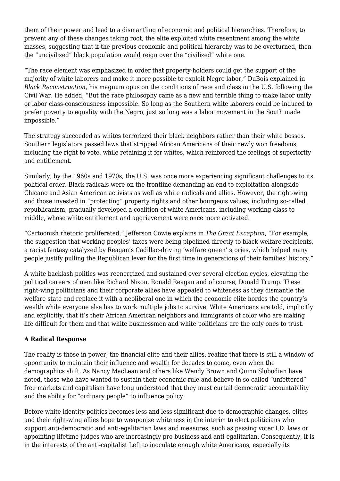them of their power and lead to a dismantling of economic and political hierarchies. Therefore, to prevent any of these changes taking root, the elite exploited white resentment among the white masses, suggesting that if the previous economic and political hierarchy was to be overturned, then the "uncivilized" black population would reign over the "civilized" white one.

"The race element was emphasized in order that property-holders could get the support of the majority of white laborers and make it more possible to exploit Negro labor," DuBois explained in *Black Reconstruction*, his magnum opus on the conditions of race and class in the U.S. following the Civil War. He added, "But the race philosophy came as a new and terrible thing to make labor unity or labor class-consciousness impossible. So long as the Southern white laborers could be induced to prefer poverty to equality with the Negro, just so long was a labor movement in the South made impossible."

The strategy succeeded as whites terrorized their black neighbors rather than their white bosses. Southern legislators passed laws that stripped African Americans of their newly won freedoms, including the right to vote, while retaining it for whites, which reinforced the feelings of superiority and entitlement.

Similarly, by the 1960s and 1970s, the U.S. was once more experiencing significant challenges to its political order. Black radicals were on the frontline demanding an end to exploitation alongside Chicano and Asian American activists as well as white radicals and allies. However, the right-wing and those invested in "protecting" property rights and other bourgeois values, including so-called republicanism, gradually developed a coalition of white Americans, including working-class to middle, whose white entitlement and aggrievement were once more activated.

"Cartoonish rhetoric proliferated," Jefferson Cowie explains in *The Great Exception*, "For example, the suggestion that working peoples' taxes were being pipelined directly to black welfare recipients, a racist fantasy catalyzed by Reagan's Cadillac-driving 'welfare queen' stories, which helped many people justify pulling the Republican lever for the first time in generations of their families' history."

A white backlash politics was reenergized and sustained over several election cycles, elevating the political careers of men like Richard Nixon, Ronald Reagan and of course, Donald Trump. These right-wing politicians and their corporate allies have appealed to whiteness as they dismantle the welfare state and replace it with a neoliberal one in which the economic elite hordes the country's wealth while everyone else has to work multiple jobs to survive. White Americans are told, implicitly and explicitly, that it's their African American neighbors and immigrants of color who are making life difficult for them and that white businessmen and white politicians are the only ones to trust.

# **A Radical Response**

The reality is those in power, the financial elite and their allies, realize that there is still a window of opportunity to maintain their influence and wealth for decades to come, even when the demographics shift. As Nancy MacLean and others like Wendy Brown and Quinn Slobodian have noted, those who have wanted to sustain their economic rule and believe in so-called "unfettered" free markets and capitalism have long understood that they must curtail democratic accountability and the ability for "ordinary people" to influence policy.

Before white identity politics becomes less and less significant due to demographic changes, elites and their right-wing allies hope to weaponize whiteness in the interim to elect politicians who support anti-democratic and anti-egalitarian laws and measures, such as passing voter I.D. laws or appointing lifetime judges who are increasingly pro-business and anti-egalitarian. Consequently, it is in the interests of the anti-capitalist Left to inoculate enough white Americans, especially its